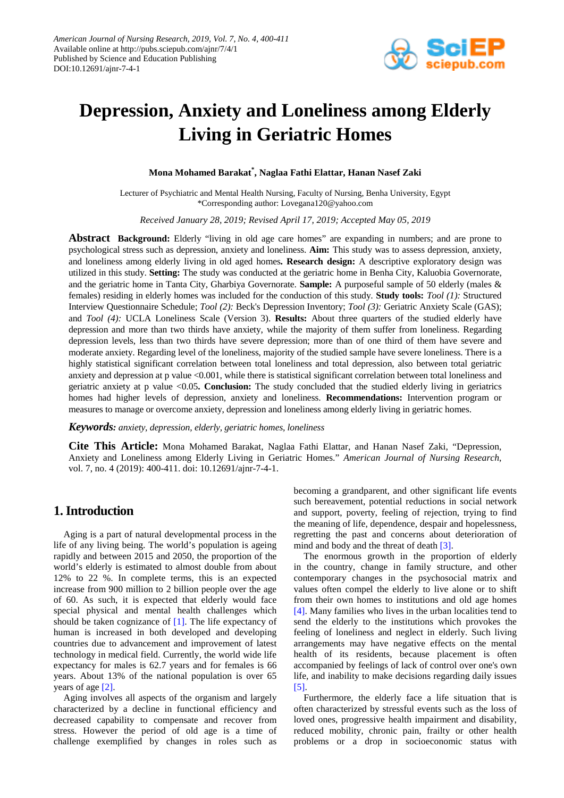

# **Depression, Anxiety and Loneliness among Elderly Living in Geriatric Homes**

# **Mona Mohamed Barakat\* , Naglaa Fathi Elattar, Hanan Nasef Zaki**

Lecturer of Psychiatric and Mental Health Nursing, Faculty of Nursing, Benha University, Egypt \*Corresponding author: Lovegana120@yahoo.com

*Received January 28, 2019; Revised April 17, 2019; Accepted May 05, 2019*

**Abstract Background:** Elderly "living in old age care homes" are expanding in numbers; and are prone to psychological stress such as depression, anxiety and loneliness. **Aim:** This study was to assess depression, anxiety, and loneliness among elderly living in old aged homes**. Research design:** A descriptive exploratory design was utilized in this study. **Setting:** The study was conducted at the geriatric home in Benha City, Kaluobia Governorate, and the geriatric home in Tanta City, Gharbiya Governorate. **Sample:** A purposeful sample of 50 elderly (males & females) residing in elderly homes was included for the conduction of this study. **Study tools:** *Tool (1):* Structured Interview Questionnaire Schedule; *Tool (2):* Beck's Depression Inventory; *Tool (3):* Geriatric Anxiety Scale (GAS); and *Tool (4):* UCLA Loneliness Scale (Version 3). **Results:** About three quarters of the studied elderly have depression and more than two thirds have anxiety, while the majority of them suffer from loneliness. Regarding depression levels, less than two thirds have severe depression; more than of one third of them have severe and moderate anxiety. Regarding level of the loneliness, majority of the studied sample have severe loneliness. There is a highly statistical significant correlation between total loneliness and total depression, also between total geriatric anxiety and depression at p value <0.001, while there is statistical significant correlation between total loneliness and geriatric anxiety at p value <0.05**. Conclusion:** The study concluded that the studied elderly living in geriatrics homes had higher levels of depression, anxiety and loneliness. **Recommendations:** Intervention program or measures to manage or overcome anxiety, depression and loneliness among elderly living in geriatric homes.

#### *Keywords: anxiety, depression, elderly, geriatric homes, loneliness*

**Cite This Article:** Mona Mohamed Barakat, Naglaa Fathi Elattar, and Hanan Nasef Zaki, "Depression, Anxiety and Loneliness among Elderly Living in Geriatric Homes." *American Journal of Nursing Research*, vol. 7, no. 4 (2019): 400-411. doi: 10.12691/ajnr-7-4-1.

# **1. Introduction**

Aging is a part of natural developmental process in the life of any living being. The world's population is ageing rapidly and between 2015 and 2050, the proportion of the world's elderly is estimated to almost double from about 12% to 22 %. In complete terms, this is an expected increase from 900 million to 2 billion people over the age of 60. As such, it is expected that elderly would face special physical and mental health challenges which should be taken cognizance of [\[1\].](#page-9-0) The life expectancy of human is increased in both developed and developing countries due to advancement and improvement of latest technology in medical field. Currently, the world wide life expectancy for males is 62.7 years and for females is 66 years. About 13% of the national population is over 65 years of age [\[2\].](#page-9-1)

Aging involves all aspects of the organism and largely characterized by a decline in functional efficiency and decreased capability to compensate and recover from stress. However the period of old age is a time of challenge exemplified by changes in roles such as

becoming a grandparent, and other significant life events such bereavement, potential reductions in social network and support, poverty, feeling of rejection, trying to find the meaning of life, dependence, despair and hopelessness, regretting the past and concerns about deterioration of mind and body and the threat of deat[h \[3\].](#page-9-2)

The enormous growth in the proportion of elderly in the country, change in family structure, and other contemporary changes in the psychosocial matrix and values often compel the elderly to live alone or to shift from their own homes to institutions and old age homes [\[4\].](#page-9-3) Many families who lives in the urban localities tend to send the elderly to the institutions which provokes the feeling of loneliness and neglect in elderly. Such living arrangements may have negative effects on the mental health of its residents, because placement is often accompanied by feelings of lack of control over one's own life, and inability to make decisions regarding daily issues [\[5\].](#page-9-4)

Furthermore, the elderly face a life situation that is often characterized by stressful events such as the loss of loved ones, progressive health impairment and disability, reduced mobility, chronic pain, frailty or other health problems or a drop in socioeconomic status with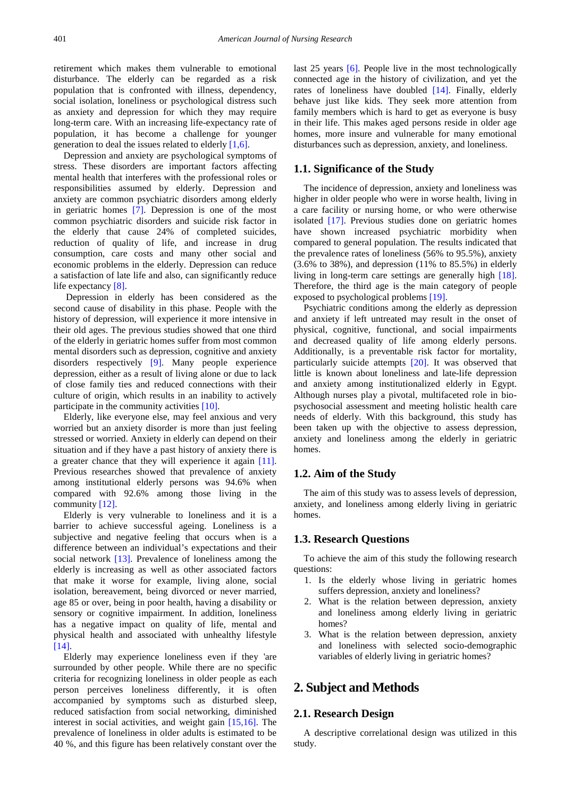retirement which makes them vulnerable to emotional disturbance. The elderly can be regarded as a risk population that is confronted with illness, dependency, social isolation, loneliness or psychological distress such as anxiety and depression for which they may require long-term care. With an increasing life-expectancy rate of population, it has become a challenge for younger generation to deal the issues related to elderly [\[1,6\].](#page-9-0)

Depression and anxiety are psychological symptoms of stress. These disorders are important factors affecting mental health that interferes with the professional roles or responsibilities assumed by elderly. Depression and anxiety are common psychiatric disorders among elderly in geriatric homes [\[7\].](#page-9-5) Depression is one of the most common psychiatric disorders and suicide risk factor in the elderly that cause 24% of completed suicides, reduction of quality of life, and increase in drug consumption, care costs and many other social and economic problems in the elderly. Depression can reduce a satisfaction of late life and also, can significantly reduce life expectancy [\[8\].](#page-9-6)

Depression in elderly has been considered as the second cause of disability in this phase. People with the history of depression, will experience it more intensive in their old ages. The previous studies showed that one third of the elderly in geriatric homes suffer from most common mental disorders such as depression, cognitive and anxiety disorders respectively [\[9\].](#page-9-7) Many people experience depression, either as a result of living alone or due to lack of close family ties and reduced connections with their culture of origin, which results in an inability to actively participate in the community activities [\[10\].](#page-10-0)

Elderly, like everyone else, may feel anxious and very worried but an anxiety disorder is more than just feeling stressed or worried. Anxiety in elderly can depend on their situation and if they have a past history of anxiety there is a greater chance that they will experience it again [\[11\].](#page-10-1) Previous researches showed that prevalence of anxiety among institutional elderly persons was 94.6% when compared with 92.6% among those living in the community [\[12\].](#page-10-2)

Elderly is very vulnerable to loneliness and it is a barrier to achieve successful ageing. Loneliness is a subjective and negative feeling that occurs when is a difference between an individual's expectations and their social network [\[13\].](#page-10-3) Prevalence of loneliness among the elderly is increasing as well as other associated factors that make it worse for example, living alone, social isolation, bereavement, being divorced or never married, age 85 or over, being in poor health, having a disability or sensory or cognitive impairment. In addition, loneliness has a negative impact on quality of life, mental and physical health and associated with unhealthy lifestyle [\[14\].](#page-10-4)

Elderly may experience loneliness even if they 'are surrounded by other people. While there are no specific criteria for recognizing loneliness in older people as each person perceives loneliness differently, it is often accompanied by symptoms such as disturbed sleep, reduced satisfaction from social networking, diminished interest in social activities, and weight gain [\[15,16\].](#page-10-5) The prevalence of loneliness in older adults is estimated to be 40 %, and this figure has been relatively constant over the

last 25 years [\[6\].](#page-9-8) People live in the most technologically connected age in the history of civilization, and yet the rates of loneliness have doubled [\[14\].](#page-10-4) Finally, elderly behave just like kids. They seek more attention from family members which is hard to get as everyone is busy in their life. This makes aged persons reside in older age homes, more insure and vulnerable for many emotional disturbances such as depression, anxiety, and loneliness.

#### **1.1. Significance of the Study**

The incidence of depression, anxiety and loneliness was higher in older people who were in worse health, living in a care facility or nursing home, or who were otherwise isolated [\[17\].](#page-10-6) Previous studies done on geriatric homes have shown increased psychiatric morbidity when compared to general population. The results indicated that the prevalence rates of loneliness (56% to 95.5%), anxiety (3.6% to 38%), and depression (11% to 85.5%) in elderly living in long-term care settings are generally high [\[18\].](#page-10-7) Therefore, the third age is the main category of people exposed to psychological problems [\[19\].](#page-10-8)

Psychiatric conditions among the elderly as depression and anxiety if left untreated may result in the onset of physical, cognitive, functional, and social impairments and decreased quality of life among elderly persons. Additionally, is a preventable risk factor for mortality, particularly suicide attempts [\[20\].](#page-10-9) It was observed that little is known about loneliness and late-life depression and anxiety among institutionalized elderly in Egypt. Although nurses play a pivotal, multifaceted role in biopsychosocial assessment and meeting holistic health care needs of elderly. With this background, this study has been taken up with the objective to assess depression, anxiety and loneliness among the elderly in geriatric homes.

## **1.2. Aim of the Study**

The aim of this study was to assess levels of depression, anxiety, and loneliness among elderly living in geriatric homes.

## **1.3. Research Questions**

To achieve the aim of this study the following research questions:

- 1. Is the elderly whose living in geriatric homes suffers depression, anxiety and loneliness?
- 2. What is the relation between depression, anxiety and loneliness among elderly living in geriatric homes?
- 3. What is the relation between depression, anxiety and loneliness with selected socio-demographic variables of elderly living in geriatric homes?

# **2. Subject and Methods**

## **2.1. Research Design**

A descriptive correlational design was utilized in this study.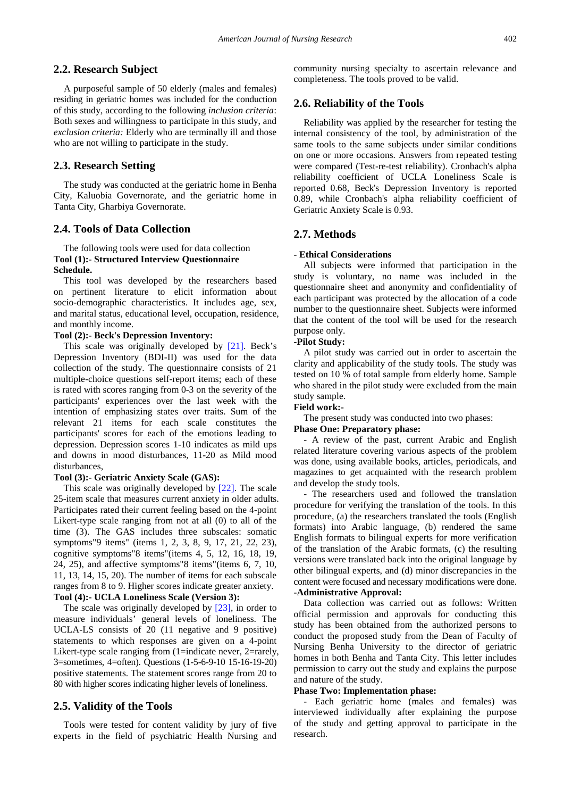## **2.2. Research Subject**

A purposeful sample of 50 elderly (males and females) residing in geriatric homes was included for the conduction of this study, according to the following *inclusion criteria*: Both sexes and willingness to participate in this study, and *exclusion criteria:* Elderly who are terminally ill and those who are not willing to participate in the study.

# **2.3. Research Setting**

The study was conducted at the geriatric home in Benha City, Kaluobia Governorate, and the geriatric home in Tanta City, Gharbiya Governorate.

## **2.4. Tools of Data Collection**

## The following tools were used for data collection **Tool (1):- Structured Interview Questionnaire Schedule.**

This tool was developed by the researchers based on pertinent literature to elicit information about socio-demographic characteristics. It includes age, sex, and marital status, educational level, occupation, residence, and monthly income.

# **Tool (2):- Beck's Depression Inventory:**

This scale was originally developed by [\[21\].](#page-10-10) Beck's Depression Inventory (BDI-II) was used for the data collection of the study. The questionnaire consists of 21 multiple-choice questions self-report items; each of these is rated with scores ranging from 0-3 on the severity of the participants' experiences over the last week with the intention of emphasizing states over traits. Sum of the relevant 21 items for each scale constitutes the participants' scores for each of the emotions leading to depression. Depression scores 1-10 indicates as mild ups and downs in mood disturbances, 11-20 as Mild mood disturbances,

#### **Tool (3):- Geriatric Anxiety Scale (GAS):**

This scale was originally developed by [\[22\].](#page-10-11) The scale 25-item scale that measures current anxiety in older adults. Participates rated their current feeling based on the 4-point Likert-type scale ranging from not at all (0) to all of the time (3). The GAS includes three subscales: somatic symptoms"9 items" (items 1, 2, 3, 8, 9, 17, 21, 22, 23), cognitive symptoms"8 items"(items 4, 5, 12, 16, 18, 19, 24, 25), and affective symptoms"8 items"(items 6, 7, 10, 11, 13, 14, 15, 20). The number of items for each subscale ranges from 8 to 9. Higher scores indicate greater anxiety. **Tool (4):- UCLA Loneliness Scale (Version 3):**

The scale was originally developed by [\[23\],](#page-10-12) in order to measure individuals' general levels of loneliness. The UCLA-LS consists of 20 (11 negative and 9 positive) statements to which responses are given on a 4-point Likert-type scale ranging from (1=indicate never, 2=rarely, 3=sometimes, 4=often). Questions (1-5-6-9-10 15-16-19-20) positive statements. The statement scores range from 20 to 80 with higher scores indicating higher levels of loneliness.

## **2.5. Validity of the Tools**

Tools were tested for content validity by jury of five experts in the field of psychiatric Health Nursing and community nursing specialty to ascertain relevance and completeness. The tools proved to be valid.

# **2.6. Reliability of the Tools**

Reliability was applied by the researcher for testing the internal consistency of the tool, by administration of the same tools to the same subjects under similar conditions on one or more occasions. Answers from repeated testing were compared (Test-re-test reliability). Cronbach's alpha reliability coefficient of UCLA Loneliness Scale is reported 0.68, Beck's Depression Inventory is reported 0.89, while Cronbach's alpha reliability coefficient of Geriatric Anxiety Scale is 0.93.

# **2.7. Methods**

#### **- Ethical Considerations**

All subjects were informed that participation in the study is voluntary, no name was included in the questionnaire sheet and anonymity and confidentiality of each participant was protected by the allocation of a code number to the questionnaire sheet. Subjects were informed that the content of the tool will be used for the research purpose only.

#### **-Pilot Study:**

A pilot study was carried out in order to ascertain the clarity and applicability of the study tools. The study was tested on 10 % of total sample from elderly home. Sample who shared in the pilot study were excluded from the main study sample.

#### **Field work:-**

The present study was conducted into two phases:

#### **Phase One: Preparatory phase:**

- A review of the past, current Arabic and English related literature covering various aspects of the problem was done, using available books, articles, periodicals, and magazines to get acquainted with the research problem and develop the study tools.

The researchers used and followed the translation procedure for verifying the translation of the tools. In this procedure, (a) the researchers translated the tools (English formats) into Arabic language, (b) rendered the same English formats to bilingual experts for more verification of the translation of the Arabic formats, (c) the resulting versions were translated back into the original language by other bilingual experts, and (d) minor discrepancies in the content were focused and necessary modifications were done. **-Administrative Approval:**

Data collection was carried out as follows: Written official permission and approvals for conducting this study has been obtained from the authorized persons to conduct the proposed study from the Dean of Faculty of Nursing Benha University to the director of geriatric homes in both Benha and Tanta City. This letter includes permission to carry out the study and explains the purpose and nature of the study.

#### **Phase Two: Implementation phase:**

- Each geriatric home (males and females) was interviewed individually after explaining the purpose of the study and getting approval to participate in the research.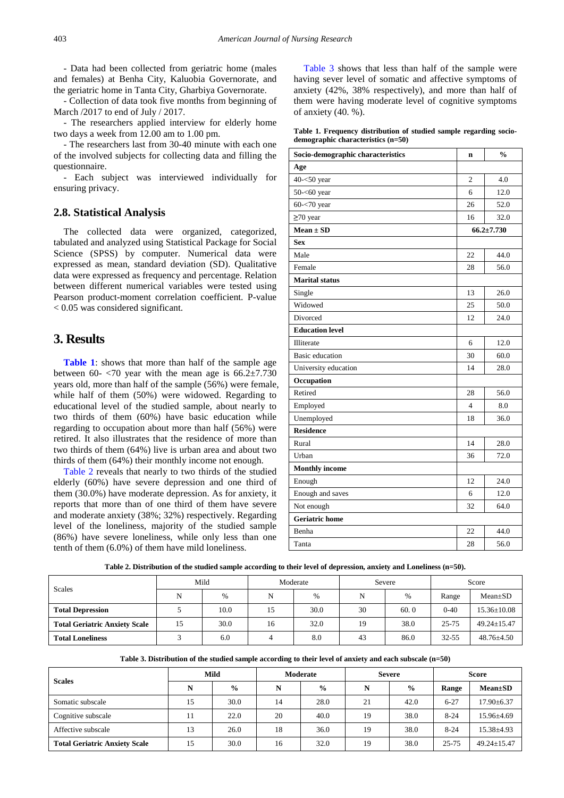- Data had been collected from geriatric home (males and females) at Benha City, Kaluobia Governorate, and the geriatric home in Tanta City, Gharbiya Governorate.

- Collection of data took five months from beginning of March /2017 to end of July / 2017.

- The researchers applied interview for elderly home two days a week from 12.00 am to 1.00 pm.

- The researchers last from 30-40 minute with each one of the involved subjects for collecting data and filling the questionnaire.

- Each subject was interviewed individually for ensuring privacy.

## **2.8. Statistical Analysis**

The collected data were organized, categorized, tabulated and analyzed using Statistical Package for Social Science (SPSS) by computer. Numerical data were expressed as mean, standard deviation (SD). Qualitative data were expressed as frequency and percentage. Relation between different numerical variables were tested using Pearson product-moment correlation coefficient. P-value < 0.05 was considered significant.

# **3. Results**

**[Table 1](#page-3-0)**: shows that more than half of the sample age between 60- $\langle 70 \rangle$  year with the mean age is 66.2 $\pm$ 7.730 years old, more than half of the sample (56%) were female, while half of them (50%) were widowed. Regarding to educational level of the studied sample, about nearly to two thirds of them (60%) have basic education while regarding to occupation about more than half (56%) were retired. It also illustrates that the residence of more than two thirds of them (64%) live is urban area and about two thirds of them (64%) their monthly income not enough.

[Table 2](#page-3-1) reveals that nearly to two thirds of the studied elderly (60%) have severe depression and one third of them (30.0%) have moderate depression. As for anxiety, it reports that more than of one third of them have severe and moderate anxiety (38%; 32%) respectively. Regarding level of the loneliness, majority of the studied sample (86%) have severe loneliness, while only less than one tenth of them (6.0%) of them have mild loneliness.

[Table 3](#page-3-2) shows that less than half of the sample were having sever level of somatic and affective symptoms of anxiety (42%, 38% respectively), and more than half of them were having moderate level of cognitive symptoms of anxiety (40. %).

|  | Table 1. Frequency distribution of studied sample regarding socio- |  |  |  |
|--|--------------------------------------------------------------------|--|--|--|
|  | demographic characteristics $(n=50)$                               |  |  |  |

<span id="page-3-0"></span>

| Socio-demographic characteristics | n              | $\frac{0}{0}$    |
|-----------------------------------|----------------|------------------|
| Age                               |                |                  |
| $40 - 50$ year                    | $\overline{c}$ | 4.0              |
| $50 - 60$ year                    | 6              | 12.0             |
| $60 - 70$ year                    | 26             | 52.0             |
| $\geq 70$ year                    | 16             | 32.0             |
| $Mean \pm SD$                     |                | $66.2 \pm 7.730$ |
| <b>Sex</b>                        |                |                  |
| Male                              | 22             | 44.0             |
| Female                            | 28             | 56.0             |
| <b>Marital status</b>             |                |                  |
| Single                            | 13             | 26.0             |
| Widowed                           | 25             | 50.0             |
| Divorced                          | 12             | 24.0             |
| <b>Education level</b>            |                |                  |
| Illiterate                        | 6              | 12.0             |
| <b>Basic</b> education            | 30             | 60.0             |
| University education              | 14             | 28.0             |
| Occupation                        |                |                  |
| Retired                           | 28             | 56.0             |
| Employed                          | $\overline{4}$ | 8.0              |
| Unemployed                        | 18             | 36.0             |
| <b>Residence</b>                  |                |                  |
| Rural                             | 14             | 28.0             |
| Urban                             | 36             | 72.0             |
| <b>Monthly income</b>             |                |                  |
| Enough                            | 12             | 24.0             |
| Enough and saves                  | 6              | 12.0             |
| Not enough                        | 32             | 64.0             |
| <b>Geriatric</b> home             |                |                  |
| Benha                             | 22             | 44.0             |
| Tanta                             | 28             | 56.0             |

**Table 2. Distribution of the studied sample according to their level of depression, anxiety and Loneliness (n=50).**

<span id="page-3-1"></span>

| <b>Scales</b>                        | Mild |      | Moderate |      | Severe |      | Score     |                   |
|--------------------------------------|------|------|----------|------|--------|------|-----------|-------------------|
|                                      | N    | %    | N        | $\%$ | N      | $\%$ | Range     | $Mean \pm SD$     |
| <b>Total Depression</b>              |      | 10.0 | 15       | 30.0 | 30     | 60.0 | $0 - 40$  | $15.36 \pm 10.08$ |
| <b>Total Geriatric Anxiety Scale</b> | 15   | 30.0 | 16       | 32.0 | 19     | 38.0 | $25 - 75$ | $49.24 \pm 15.47$ |
| <b>Total Loneliness</b>              |      | 6.0  |          | 8.0  | 43     | 86.0 | $32 - 55$ | $48.76 \pm 4.50$  |

**Table 3. Distribution of the studied sample according to their level of anxiety and each subscale (n=50)**

<span id="page-3-2"></span>

| <b>Scales</b>                        | Mild |               | Moderate |               | <b>Severe</b> |               | <b>Score</b> |                   |
|--------------------------------------|------|---------------|----------|---------------|---------------|---------------|--------------|-------------------|
|                                      | N    | $\frac{6}{9}$ | N        | $\frac{0}{0}$ | N             | $\frac{6}{9}$ | Range        | $Mean \pm SD$     |
| Somatic subscale                     | 15   | 30.0          | 14       | 28.0          | 21            | 42.0          | $6 - 27$     | $17.90 \pm 6.37$  |
| Cognitive subscale                   | 11   | 22.0          | 20       | 40.0          | 19            | 38.0          | $8 - 24$     | $15.96 \pm 4.69$  |
| Affective subscale                   | 13   | 26.0          | 18       | 36.0          | 19            | 38.0          | $8 - 24$     | $15.38{\pm}4.93$  |
| <b>Total Geriatric Anxiety Scale</b> | 15   | 30.0          | 16       | 32.0          | 19            | 38.0          | $25 - 75$    | $49.24 \pm 15.47$ |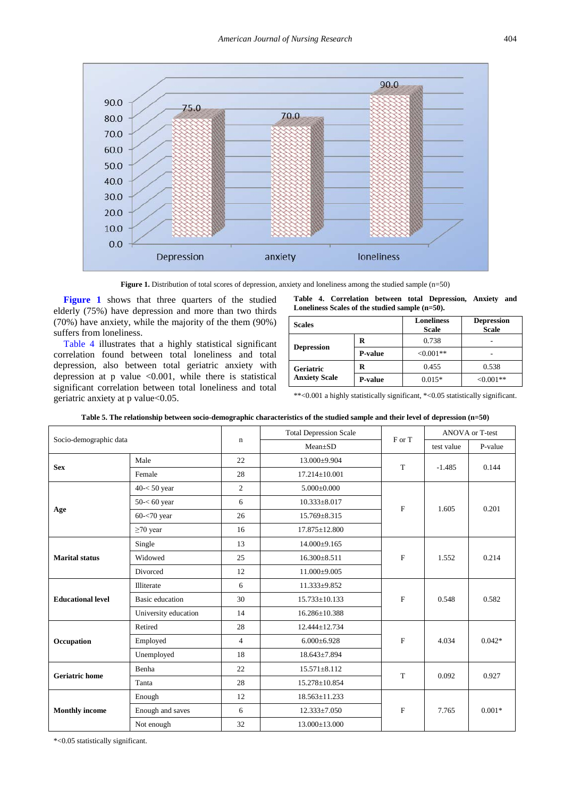<span id="page-4-0"></span>

**Figure 1.** Distribution of total scores of depression, anxiety and loneliness among the studied sample (n=50)

**[Figure 1](#page-4-0)** shows that three quarters of the studied elderly (75%) have depression and more than two thirds (70%) have anxiety, while the majority of the them (90%) suffers from loneliness.

[Table 4](#page-4-1) illustrates that a highly statistical significant correlation found between total loneliness and total depression, also between total geriatric anxiety with depression at  $p$  value <0.001, while there is statistical significant correlation between total loneliness and total geriatric anxiety at p value<0.05.

**Table 4. Correlation between total Depression, Anxiety and Loneliness Scales of the studied sample (n=50).** 

<span id="page-4-1"></span>

| <b>Scales</b>                            |                | <b>Loneliness</b><br><b>Scale</b> | <b>Depression</b><br><b>Scale</b> |
|------------------------------------------|----------------|-----------------------------------|-----------------------------------|
|                                          | R              | 0.738                             |                                   |
| <b>Depression</b>                        | <b>P-value</b> | $< 0.001$ **                      |                                   |
| <b>Geriatric</b><br><b>Anxiety Scale</b> | R              | 0.455                             | 0.538                             |
|                                          | <b>P-value</b> | $0.015*$                          | $< 0.001**$                       |

\*\*<0.001 a highly statistically significant, \*<0.05 statistically significant.

<span id="page-4-2"></span>

| Socio-demographic data   |                        |                | <b>Total Depression Scale</b> | F or T       | ANOVA or T-test |          |
|--------------------------|------------------------|----------------|-------------------------------|--------------|-----------------|----------|
|                          |                        | $\mathbf n$    | $Mean \pm SD$                 |              | test value      | P-value  |
| <b>Sex</b>               | Male                   | 22             | 13.000±9.904                  | T            | $-1.485$        | 0.144    |
|                          | Female                 | 28             | $17.214 \pm 10.001$           |              |                 |          |
|                          | $40 < 50$ year         | $\overline{c}$ | $5.000 \pm 0.000$             |              | 1.605           | 0.201    |
|                          | $50 - 60$ year         | 6              | $10.333 \pm 8.017$            | $\mathbf{F}$ |                 |          |
| Age                      | $60 - 70$ year         | 26             | $15.769 \pm 8.315$            |              |                 |          |
|                          | $\geq$ 70 year         | 16             | $17.875 \pm 12.800$           |              |                 |          |
|                          | Single                 | 13             | 14.000±9.165                  |              |                 |          |
| <b>Marital status</b>    | Widowed                | 25             | $16.300 \pm 8.511$            | F            | 1.552           | 0.214    |
|                          | Divorced               | 12             | 11.000±9.005                  |              |                 |          |
|                          | Illiterate             | 6              | $11.333 \pm 9.852$            |              | 0.548           | 0.582    |
| <b>Educational level</b> | <b>Basic</b> education | 30             | $15.733 \pm 10.133$           | $\mathbf{F}$ |                 |          |
|                          | University education   | 14             | $16.286 \pm 10.388$           |              |                 |          |
|                          | Retired                | 28             | 12.444±12.734                 |              | 4.034           | $0.042*$ |
| Occupation               | Employed               | $\overline{4}$ | $6.000 \pm 6.928$             | F            |                 |          |
|                          | Unemployed             | 18             | $18.643 \pm 7.894$            |              |                 |          |
| <b>Geriatric home</b>    | Benha                  | 22             | $15.571 \pm 8.112$            | T            |                 |          |
|                          | Tanta                  | 28             | 15.278±10.854                 |              | 0.092           | 0.927    |
|                          | Enough                 | 12             | $18.563 \pm 11.233$           |              |                 |          |
| <b>Monthly income</b>    | Enough and saves       | 6              | $12.333 \pm 7.050$            | $\mathbf{F}$ | 7.765           | $0.001*$ |
|                          | Not enough             | 32             | $13.000 \pm 13.000$           |              |                 |          |

**Table 5. The relationship between socio-demographic characteristics of the studied sample and their level of depression (n=50)**

\*<0.05 statistically significant.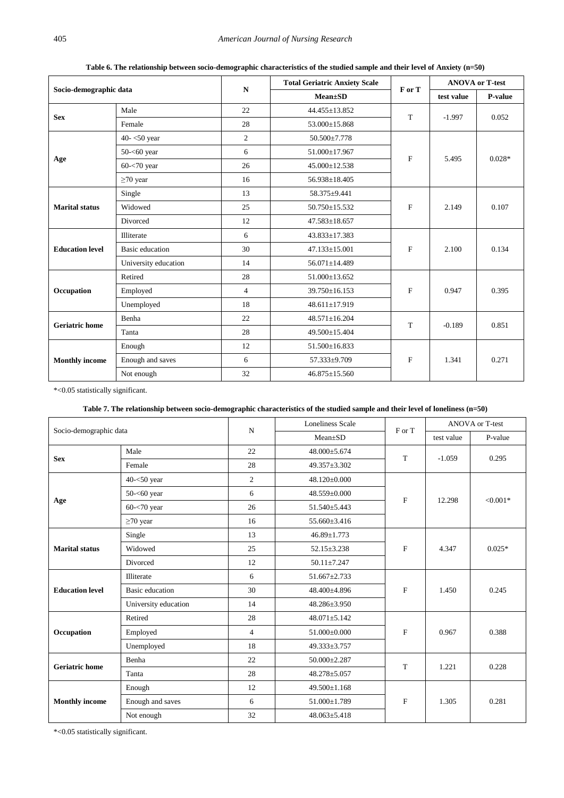**Table 6. The relationship between socio-demographic characteristics of the studied sample and their level of Anxiety (n=50)**

<span id="page-5-0"></span>

| Socio-demographic data |                        | ${\bf N}$      | <b>Total Geriatric Anxiety Scale</b> | F or T       | <b>ANOVA or T-test</b> |          |
|------------------------|------------------------|----------------|--------------------------------------|--------------|------------------------|----------|
|                        |                        |                | $Mean \pm SD$                        |              | test value             | P-value  |
| <b>Sex</b>             | Male                   | 22             | 44.455±13.852                        | T            | $-1.997$               | 0.052    |
|                        | Female                 | 28             | 53.000±15.868                        |              |                        |          |
|                        | 40- $<$ 50 year        | 2              | 50.500±7.778                         |              |                        |          |
|                        | 50- $<$ 60 year        | 6              | 51.000±17.967                        | $\mathbf{F}$ | 5.495                  | $0.028*$ |
| Age                    | $60 - 70$ year         | 26             | $45.000 \pm 12.538$                  |              |                        |          |
|                        | $\geq$ 70 year         | 16             | $56.938 \pm 18.405$                  |              |                        |          |
|                        | Single                 | 13             | 58.375±9.441                         |              |                        |          |
| <b>Marital status</b>  | Widowed                | 25             | $50.750 \pm 15.532$                  | F            | 2.149                  | 0.107    |
|                        | Divorced               | 12             | 47.583±18.657                        |              |                        |          |
|                        | Illiterate             | 6              | $43.833 \pm 17.383$                  |              | 2.100                  | 0.134    |
| <b>Education level</b> | <b>Basic</b> education | 30             | 47.133±15.001                        | F            |                        |          |
|                        | University education   | 14             | 56.071±14.489                        |              |                        |          |
|                        | Retired                | 28             | 51.000±13.652                        |              | 0.947                  | 0.395    |
| Occupation             | Employed               | $\overline{4}$ | 39.750±16.153                        | F            |                        |          |
|                        | Unemployed             | 18             | 48.611±17.919                        |              |                        |          |
| <b>Geriatric home</b>  | Benha                  | 22             | $48.571 \pm 16.204$                  | T            | $-0.189$               |          |
|                        | Tanta                  | 28             | 49.500±15.404                        |              |                        | 0.851    |
| <b>Monthly income</b>  | Enough                 | 12             | $51.500 \pm 16.833$                  |              | 1.341                  |          |
|                        | Enough and saves       | 6              | 57.333±9.709                         | $\mathbf F$  |                        | 0.271    |
|                        | Not enough             | 32             | 46.875±15.560                        |              |                        |          |

\*<0.05 statistically significant.

## **Table 7. The relationship between socio-demographic characteristics of the studied sample and their level of loneliness (n=50)**

<span id="page-5-1"></span>

|                        |                      |                | Loneliness Scale   | F or T       | ANOVA or T-test |            |
|------------------------|----------------------|----------------|--------------------|--------------|-----------------|------------|
| Socio-demographic data |                      | $\mathbf N$    | $Mean \pm SD$      |              | test value      | P-value    |
|                        | Male                 | 22             | 48.000±5.674       | T            | $-1.059$        | 0.295      |
| <b>Sex</b>             | Female               | 28             | 49.357±3.302       |              |                 |            |
|                        | $40 - 50$ year       | $\overline{2}$ | 48.120±0.000       |              |                 | $< 0.001*$ |
|                        | $50 - 60$ year       | 6              | 48.559±0.000       | $\mathbf{F}$ | 12.298          |            |
| Age                    | $60 - 70$ year       | 26             | 51.540±5.443       |              |                 |            |
|                        | $\geq$ 70 year       | 16             | 55.660±3.416       |              |                 |            |
| <b>Marital status</b>  | Single               | 13             | $46.89 \pm 1.773$  |              | 4.347           | $0.025*$   |
|                        | Widowed              | 25             | $52.15 \pm 3.238$  | $\mathbf{F}$ |                 |            |
|                        | Divorced             | 12             | $50.11 \pm 7.247$  |              |                 |            |
|                        | Illiterate           | 6              | 51.667±2.733       |              | 1.450           | 0.245      |
| <b>Education level</b> | Basic education      | 30             | 48.400±4.896       | F            |                 |            |
|                        | University education | 14             | 48.286±3.950       |              |                 |            |
|                        | Retired              | 28             | $48.071 \pm 5.142$ |              | 0.967           | 0.388      |
| Occupation             | Employed             | $\overline{4}$ | 51.000±0.000       | F            |                 |            |
|                        | Unemployed           | 18             | 49.333±3.757       |              |                 |            |
|                        | Benha                | 22             | $50.000 \pm 2.287$ | T            | 1.221           |            |
| <b>Geriatric</b> home  | Tanta                | 28             | $48.278 + 5.057$   |              |                 | 0.228      |
|                        | Enough               | 12             | $49.500 \pm 1.168$ |              |                 |            |
| <b>Monthly income</b>  | Enough and saves     | 6              | 51.000±1.789       | $\mathbf{F}$ | 1.305           | 0.281      |
|                        | Not enough           | 32             | $48.063 \pm 5.418$ |              |                 |            |

\*<0.05 statistically significant.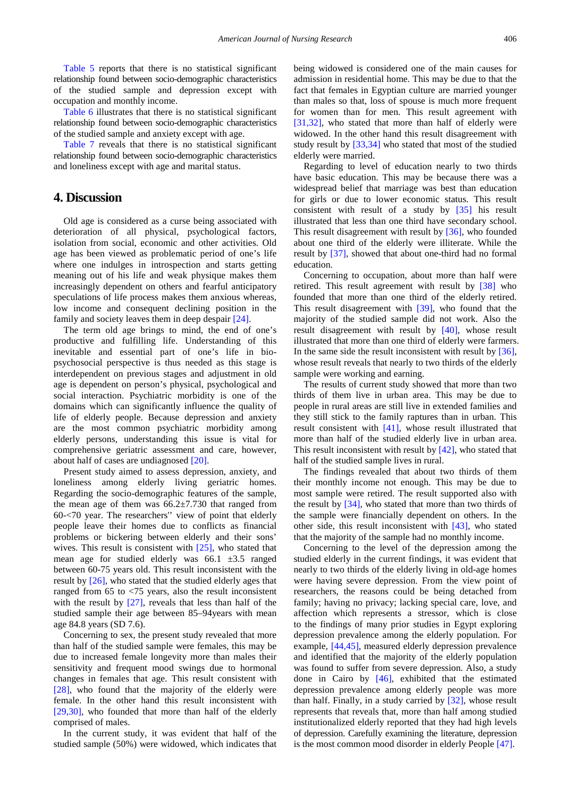[Table 5](#page-4-2) reports that there is no statistical significant relationship found between socio-demographic characteristics of the studied sample and depression except with occupation and monthly income.

[Table 6](#page-5-0) illustrates that there is no statistical significant relationship found between socio-demographic characteristics of the studied sample and anxiety except with age.

[Table 7](#page-5-1) reveals that there is no statistical significant relationship found between socio-demographic characteristics and loneliness except with age and marital status.

# **4. Discussion**

Old age is considered as a curse being associated with deterioration of all physical, psychological factors, isolation from social, economic and other activities. Old age has been viewed as problematic period of one's life where one indulges in introspection and starts getting meaning out of his life and weak physique makes them increasingly dependent on others and fearful anticipatory speculations of life process makes them anxious whereas, low income and consequent declining position in the family and society leaves them in deep despair [\[24\].](#page-10-13)

The term old age brings to mind, the end of one's productive and fulfilling life. Understanding of this inevitable and essential part of one's life in biopsychosocial perspective is thus needed as this stage is interdependent on previous stages and adjustment in old age is dependent on person's physical, psychological and social interaction. Psychiatric morbidity is one of the domains which can significantly influence the quality of life of elderly people. Because depression and anxiety are the most common psychiatric morbidity among elderly persons, understanding this issue is vital for comprehensive geriatric assessment and care, however, about half of cases are undiagnose[d \[20\].](#page-10-9)

Present study aimed to assess depression, anxiety, and loneliness among elderly living geriatric homes. Regarding the socio-demographic features of the sample, the mean age of them was  $66.2 \pm 7.730$  that ranged from 60-<70 year. The researchers'' view of point that elderly people leave their homes due to conflicts as financial problems or bickering between elderly and their sons' wives. This result is consistent with [\[25\],](#page-10-14) who stated that mean age for studied elderly was 66.1 ±3.5 ranged between 60-75 years old. This result inconsistent with the result by [\[26\],](#page-10-15) who stated that the studied elderly ages that ranged from 65 to <75 years, also the result inconsistent with the result by  $[27]$ , reveals that less than half of the studied sample their age between 85–94years with mean age 84.8 years (SD 7.6).

Concerning to sex, the present study revealed that more than half of the studied sample were females, this may be due to increased female longevity more than males their sensitivity and frequent mood swings due to hormonal changes in females that age. This result consistent with [\[28\],](#page-10-17) who found that the majority of the elderly were female. In the other hand this result inconsistent with [\[29,30\],](#page-10-18) who founded that more than half of the elderly comprised of males.

In the current study, it was evident that half of the studied sample (50%) were widowed, which indicates that being widowed is considered one of the main causes for admission in residential home. This may be due to that the fact that females in Egyptian culture are married younger than males so that, loss of spouse is much more frequent for women than for men. This result agreement with [\[31,32\],](#page-10-19) who stated that more than half of elderly were widowed. In the other hand this result disagreement with study result by [\[33,34\]](#page-10-20) who stated that most of the studied elderly were married.

Regarding to level of education nearly to two thirds have basic education. This may be because there was a widespread belief that marriage was best than education for girls or due to lower economic status. This result consistent with result of a study by [\[35\]](#page-10-21) his result illustrated that less than one third have secondary school. This result disagreement with result by [\[36\],](#page-10-22) who founded about one third of the elderly were illiterate. While the result by [\[37\],](#page-10-23) showed that about one-third had no formal education.

Concerning to occupation, about more than half were retired. This result agreement with result by [\[38\]](#page-10-24) who founded that more than one third of the elderly retired. This result disagreement with [\[39\],](#page-10-25) who found that the majority of the studied sample did not work. Also the result disagreement with result by [\[40\],](#page-10-26) whose result illustrated that more than one third of elderly were farmers. In the same side the result inconsistent with result by [\[36\],](#page-10-22) whose result reveals that nearly to two thirds of the elderly sample were working and earning.

The results of current study showed that more than two thirds of them live in urban area. This may be due to people in rural areas are still live in extended families and they still stick to the family raptures than in urban. This result consistent with [\[41\],](#page-10-27) whose result illustrated that more than half of the studied elderly live in urban area. This result inconsistent with result by [\[42\],](#page-10-28) who stated that half of the studied sample lives in rural.

The findings revealed that about two thirds of them their monthly income not enough. This may be due to most sample were retired. The result supported also with the result by [\[34\],](#page-10-29) who stated that more than two thirds of the sample were financially dependent on others. In the other side, this result inconsistent with [\[43\],](#page-10-30) who stated that the majority of the sample had no monthly income.

Concerning to the level of the depression among the studied elderly in the current findings, it was evident that nearly to two thirds of the elderly living in old-age homes were having severe depression. From the view point of researchers, the reasons could be being detached from family; having no privacy; lacking special care, love, and affection which represents a stressor, which is close to the findings of many prior studies in Egypt exploring depression prevalence among the elderly population. For example, [\[44,45\],](#page-10-31) measured elderly depression prevalence and identified that the majority of the elderly population was found to suffer from severe depression. Also, a study done in Cairo by [\[46\],](#page-10-32) exhibited that the estimated depression prevalence among elderly people was more than half. Finally, in a study carried by [\[32\],](#page-10-33) whose result represents that reveals that, more than half among studied institutionalized elderly reported that they had high levels of depression. Carefully examining the literature, depression is the most common mood disorder in elderly People [\[47\].](#page-10-34)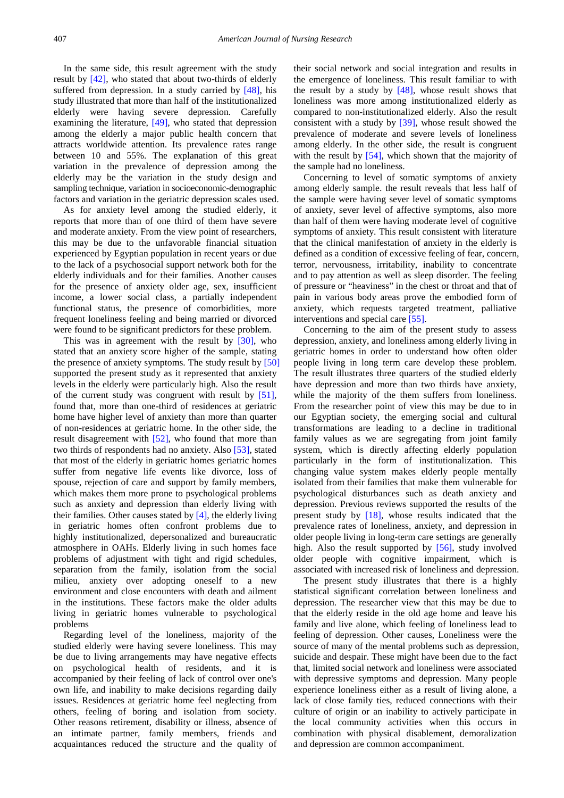In the same side, this result agreement with the study result by [\[42\],](#page-10-28) who stated that about two-thirds of elderly suffered from depression. In a study carried by [\[48\],](#page-10-35) his study illustrated that more than half of the institutionalized elderly were having severe depression. Carefully examining the literature, [\[49\],](#page-10-36) who stated that depression among the elderly a major public health concern that attracts worldwide attention. Its prevalence rates range between 10 and 55%. The explanation of this great variation in the prevalence of depression among the elderly may be the variation in the study design and sampling technique, variation in socioeconomic-demographic factors and variation in the geriatric depression scales used.

As for anxiety level among the studied elderly, it reports that more than of one third of them have severe and moderate anxiety. From the view point of researchers, this may be due to the unfavorable financial situation experienced by Egyptian population in recent years or due to the lack of a psychosocial support network both for the elderly individuals and for their families. Another causes for the presence of anxiety older age, sex, insufficient income, a lower social class, a partially independent functional status, the presence of comorbidities, more frequent loneliness feeling and being married or divorced were found to be significant predictors for these problem.

This was in agreement with the result by [\[30\],](#page-10-37) who stated that an anxiety score higher of the sample, stating the presence of anxiety symptoms. The study result by [\[50\]](#page-10-38) supported the present study as it represented that anxiety levels in the elderly were particularly high. Also the result of the current study was congruent with result by [\[51\],](#page-11-0) found that, more than one-third of residences at geriatric home have higher level of anxiety than more than quarter of non-residences at geriatric home. In the other side, the result disagreement with [\[52\],](#page-11-1) who found that more than two thirds of respondents had no anxiety. Also [\[53\],](#page-11-2) stated that most of the elderly in geriatric homes geriatric homes suffer from negative life events like divorce, loss of spouse, rejection of care and support by family members, which makes them more prone to psychological problems such as anxiety and depression than elderly living with their families. Other causes stated by [\[4\],](#page-9-3) the elderly living in geriatric homes often confront problems due to highly institutionalized, depersonalized and bureaucratic atmosphere in OAHs. Elderly living in such homes face problems of adjustment with tight and rigid schedules, separation from the family, isolation from the social milieu, anxiety over adopting oneself to a new environment and close encounters with death and ailment in the institutions. These factors make the older adults living in geriatric homes vulnerable to psychological problems

Regarding level of the loneliness, majority of the studied elderly were having severe loneliness. This may be due to living arrangements may have negative effects on psychological health of residents, and it is accompanied by their feeling of lack of control over one's own life, and inability to make decisions regarding daily issues. Residences at geriatric home feel neglecting from others, feeling of boring and isolation from society. Other reasons retirement, disability or illness, absence of an intimate partner, family members, friends and acquaintances reduced the structure and the quality of their social network and social integration and results in the emergence of loneliness. This result familiar to with the result by a study by  $[48]$ , whose result shows that loneliness was more among institutionalized elderly as compared to non-institutionalized elderly. Also the result consistent with a study by [\[39\],](#page-10-25) whose result showed the prevalence of moderate and severe levels of loneliness among elderly. In the other side, the result is congruent with the result by [\[54\],](#page-11-3) which shown that the majority of the sample had no loneliness.

Concerning to level of somatic symptoms of anxiety among elderly sample. the result reveals that less half of the sample were having sever level of somatic symptoms of anxiety, sever level of affective symptoms, also more than half of them were having moderate level of cognitive symptoms of anxiety. This result consistent with literature that the clinical manifestation of anxiety in the elderly is defined as a condition of excessive feeling of fear, concern, terror, nervousness, irritability, inability to concentrate and to pay attention as well as sleep disorder. The feeling of pressure or "heaviness" in the chest or throat and that of pain in various body areas prove the embodied form of anxiety, which requests targeted treatment, palliative interventions and special care [\[55\].](#page-11-4)

Concerning to the aim of the present study to assess depression, anxiety, and loneliness among elderly living in geriatric homes in order to understand how often older people living in long term care develop these problem. The result illustrates three quarters of the studied elderly have depression and more than two thirds have anxiety, while the majority of the them suffers from loneliness. From the researcher point of view this may be due to in our Egyptian society, the emerging social and cultural transformations are leading to a decline in traditional family values as we are segregating from joint family system, which is directly affecting elderly population particularly in the form of institutionalization. This changing value system makes elderly people mentally isolated from their families that make them vulnerable for psychological disturbances such as death anxiety and depression. Previous reviews supported the results of the present study by [\[18\],](#page-10-7) whose results indicated that the prevalence rates of loneliness, anxiety, and depression in older people living in long-term care settings are generally high. Also the result supported by [\[56\],](#page-11-5) study involved older people with cognitive impairment, which is associated with increased risk of loneliness and depression.

The present study illustrates that there is a highly statistical significant correlation between loneliness and depression. The researcher view that this may be due to that the elderly reside in the old age home and leave his family and live alone, which feeling of loneliness lead to feeling of depression. Other causes, Loneliness were the source of many of the mental problems such as depression, suicide and despair. These might have been due to the fact that, limited social network and loneliness were associated with depressive symptoms and depression. Many people experience loneliness either as a result of living alone, a lack of close family ties, reduced connections with their culture of origin or an inability to actively participate in the local community activities when this occurs in combination with physical disablement, demoralization and depression are common accompaniment.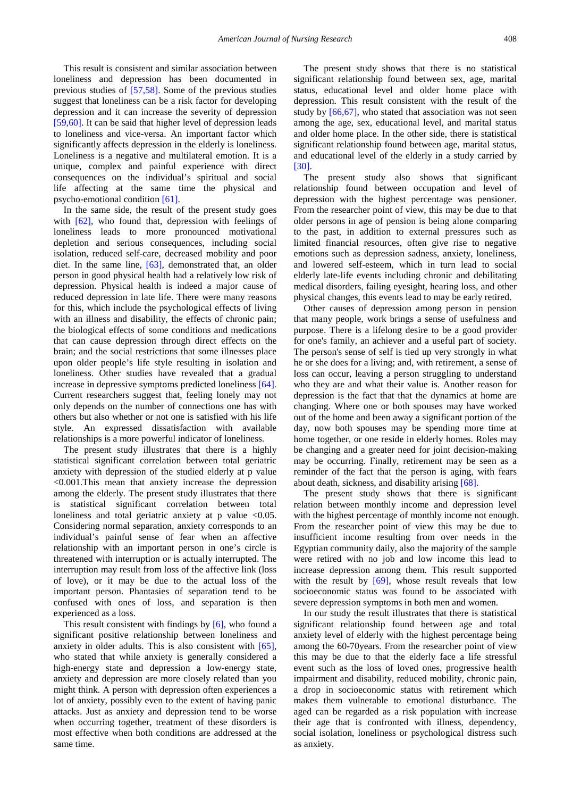This result is consistent and similar association between loneliness and depression has been documented in previous studies of [\[57,58\].](#page-11-6) Some of the previous studies suggest that loneliness can be a risk factor for developing depression and it can increase the severity of depression [\[59,60\].](#page-11-7) It can be said that higher level of depression leads to loneliness and vice-versa. An important factor which significantly affects depression in the elderly is loneliness. Loneliness is a negative and multilateral emotion. It is a unique, complex and painful experience with direct consequences on the individual's spiritual and social life affecting at the same time the physical and psycho-emotional condition [\[61\].](#page-11-8)

In the same side, the result of the present study goes with  $[62]$ , who found that, depression with feelings of loneliness leads to more pronounced motivational depletion and serious consequences, including social isolation, reduced self-care, decreased mobility and poor diet. In the same line, [\[63\],](#page-11-10) demonstrated that, an older person in good physical health had a relatively low risk of depression. Physical health is indeed a major cause of reduced depression in late life. There were many reasons for this, which include the psychological effects of living with an illness and disability, the effects of chronic pain: the biological effects of some conditions and medications that can cause depression through direct effects on the brain; and the social restrictions that some illnesses place upon older people's life style resulting in isolation and loneliness. Other studies have revealed that a gradual increase in depressive symptoms predicted loneliness [\[64\].](#page-11-11) Current researchers suggest that, feeling lonely may not only depends on the number of connections one has with others but also whether or not one is satisfied with his life style. An expressed dissatisfaction with available relationships is a more powerful indicator of loneliness.

The present study illustrates that there is a highly statistical significant correlation between total geriatric anxiety with depression of the studied elderly at p value <0.001.This mean that anxiety increase the depression among the elderly. The present study illustrates that there is statistical significant correlation between total loneliness and total geriatric anxiety at p value <0.05. Considering normal separation, anxiety corresponds to an individual's painful sense of fear when an affective relationship with an important person in one's circle is threatened with interruption or is actually interrupted. The interruption may result from loss of the affective link (loss of love), or it may be due to the actual loss of the important person. Phantasies of separation tend to be confused with ones of loss, and separation is then experienced as a loss.

This result consistent with findings by [\[6\],](#page-9-8) who found a significant positive relationship between loneliness and anxiety in older adults. This is also consistent with [\[65\],](#page-11-12) who stated that while anxiety is generally considered a high-energy state and depression a low-energy state, anxiety and depression are more closely related than you might think. A person with depression often experiences a lot of anxiety, possibly even to the extent of having panic attacks. Just as anxiety and depression tend to be worse when occurring together, treatment of these disorders is most effective when both conditions are addressed at the same time.

The present study shows that there is no statistical significant relationship found between sex, age, marital status, educational level and older home place with depression. This result consistent with the result of the study by [\[66,67\],](#page-11-13) who stated that association was not seen among the age, sex, educational level, and marital status and older home place. In the other side, there is statistical significant relationship found between age, marital status, and educational level of the elderly in a study carried by [\[30\].](#page-10-37)

The present study also shows that significant relationship found between occupation and level of depression with the highest percentage was pensioner. From the researcher point of view, this may be due to that older persons in age of pension is being alone comparing to the past, in addition to external pressures such as limited financial resources, often give rise to negative emotions such as depression sadness, anxiety, loneliness, and lowered self-esteem, which in turn lead to social elderly late-life events including chronic and debilitating medical disorders, failing eyesight, hearing loss, and other physical changes, this events lead to may be early retired.

Other causes of depression among person in pension that many people, work brings a sense of usefulness and purpose. There is a lifelong desire to be a good provider for one's family, an achiever and a useful part of society. The person's sense of self is tied up very strongly in what he or she does for a living; and, with retirement, a sense of loss can occur, leaving a person struggling to understand who they are and what their value is. Another reason for depression is the fact that that the dynamics at home are changing. Where one or both spouses may have worked out of the home and been away a significant portion of the day, now both spouses may be spending more time at home together, or one reside in elderly homes. Roles may be changing and a greater need for joint decision-making may be occurring. Finally, retirement may be seen as a reminder of the fact that the person is aging, with fears about death, sickness, and disability arising [\[68\].](#page-11-14)

The present study shows that there is significant relation between monthly income and depression level with the highest percentage of monthly income not enough. From the researcher point of view this may be due to insufficient income resulting from over needs in the Egyptian community daily, also the majority of the sample were retired with no job and low income this lead to increase depression among them. This result supported with the result by  $[69]$ , whose result reveals that low socioeconomic status was found to be associated with severe depression symptoms in both men and women.

In our study the result illustrates that there is statistical significant relationship found between age and total anxiety level of elderly with the highest percentage being among the 60-70years. From the researcher point of view this may be due to that the elderly face a life stressful event such as the loss of loved ones, progressive health impairment and disability, reduced mobility, chronic pain, a drop in socioeconomic status with retirement which makes them vulnerable to emotional disturbance. The aged can be regarded as a risk population with increase their age that is confronted with illness, dependency, social isolation, loneliness or psychological distress such as anxiety.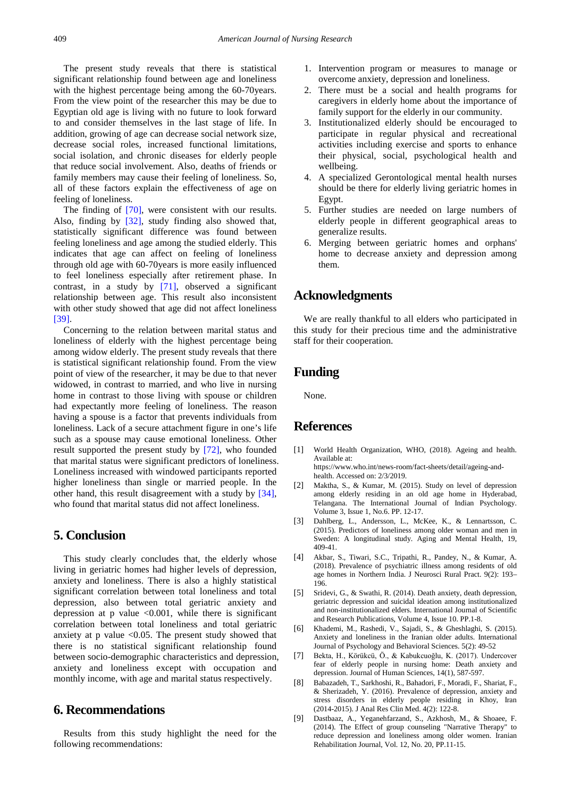The present study reveals that there is statistical significant relationship found between age and loneliness with the highest percentage being among the 60-70 years. From the view point of the researcher this may be due to Egyptian old age is living with no future to look forward to and consider themselves in the last stage of life. In addition, growing of age can decrease social network size, decrease social roles, increased functional limitations, social isolation, and chronic diseases for elderly people that reduce social involvement. Also, deaths of friends or family members may cause their feeling of loneliness. So, all of these factors explain the effectiveness of age on feeling of loneliness.

The finding of [\[70\],](#page-11-16) were consistent with our results. Also, finding by [\[32\],](#page-10-33) study finding also showed that, statistically significant difference was found between feeling loneliness and age among the studied elderly. This indicates that age can affect on feeling of loneliness through old age with 60-70years is more easily influenced to feel loneliness especially after retirement phase. In contrast, in a study by [\[71\],](#page-11-17) observed a significant relationship between age. This result also inconsistent with other study showed that age did not affect loneliness [\[39\].](#page-10-25)

Concerning to the relation between marital status and loneliness of elderly with the highest percentage being among widow elderly. The present study reveals that there is statistical significant relationship found. From the view point of view of the researcher, it may be due to that never widowed, in contrast to married, and who live in nursing home in contrast to those living with spouse or children had expectantly more feeling of loneliness. The reason having a spouse is a factor that prevents individuals from loneliness. Lack of a secure attachment figure in one's life such as a spouse may cause emotional loneliness. Other result supported the present study by [\[72\],](#page-11-18) who founded that marital status were significant predictors of loneliness. Loneliness increased with windowed participants reported higher loneliness than single or married people. In the other hand, this result disagreement with a study by [\[34\],](#page-10-29) who found that marital status did not affect loneliness.

# **5. Conclusion**

This study clearly concludes that, the elderly whose living in geriatric homes had higher levels of depression, anxiety and loneliness. There is also a highly statistical significant correlation between total loneliness and total depression, also between total geriatric anxiety and depression at  $p$  value  $\leq 0.001$ , while there is significant correlation between total loneliness and total geriatric anxiety at p value  $\leq 0.05$ . The present study showed that there is no statistical significant relationship found between socio-demographic characteristics and depression, anxiety and loneliness except with occupation and monthly income, with age and marital status respectively.

# **6. Recommendations**

Results from this study highlight the need for the following recommendations:

- 1. Intervention program or measures to manage or overcome anxiety, depression and loneliness.
- 2. There must be a social and health programs for caregivers in elderly home about the importance of family support for the elderly in our community.
- 3. Institutionalized elderly should be encouraged to participate in regular physical and recreational activities including exercise and sports to enhance their physical, social, psychological health and wellbeing.
- 4. A specialized Gerontological mental health nurses should be there for elderly living geriatric homes in Egypt.
- 5. Further studies are needed on large numbers of elderly people in different geographical areas to generalize results.
- 6. Merging between geriatric homes and orphans' home to decrease anxiety and depression among them.

# **Acknowledgments**

We are really thankful to all elders who participated in this study for their precious time and the administrative staff for their cooperation.

# **Funding**

None.

# **References**

- <span id="page-9-0"></span>[1] World Health Organization, WHO, (2018). Ageing and health. Available at: https://www.who.int/news-room/fact-sheets/detail/ageing-and-
- <span id="page-9-1"></span>health. Accessed on: 2/3/2019. [2] Maktha, S., & Kumar, M. (2015). Study on level of depression among elderly residing in an old age home in Hyderabad, Telangana. The International Journal of Indian Psychology. Volume 3, Issue 1, No.6. PP. 12-17.
- <span id="page-9-2"></span>[3] Dahlberg, L., Andersson, L., McKee, K., & Lennartsson, C. (2015). Predictors of loneliness among older woman and men in Sweden: A longitudinal study. Aging and Mental Health, 19, 409-41.
- <span id="page-9-3"></span>[4] Akbar, S., Tiwari, S.C., Tripathi, R., Pandey, N., & Kumar, A. (2018). Prevalence of psychiatric illness among residents of old age homes in Northern India. J Neurosci Rural Pract. 9(2): 193– 196.
- <span id="page-9-4"></span>[5] Sridevi, G., & Swathi, R. (2014). Death anxiety, death depression, geriatric depression and suicidal ideation among institutionalized and non-institutionalized elders. International Journal of Scientific and Research Publications, Volume 4, Issue 10. PP.1-8.
- <span id="page-9-8"></span>[6] Khademi, M., Rashedi, V., Sajadi, S., & Gheshlaghi, S. (2015). Anxiety and loneliness in the Iranian older adults. International Journal of Psychology and Behavioral Sciences. 5(2): 49-52
- <span id="page-9-5"></span>[7] Bekta, H., Körükcü, Ö., & Kabukcuoğlu, K. (2017). Undercover fear of elderly people in nursing home: Death anxiety and depression. Journal of Human Sciences, 14(1), 587-597.
- <span id="page-9-6"></span>[8] Babazadeh, T., Sarkhoshi, R., Bahadori, F., Moradi, F., Shariat, F., & Sherizadeh, Y. (2016). Prevalence of depression, anxiety and stress disorders in elderly people residing in Khoy, Iran (2014-2015). J Anal Res Clin Med. 4(2): 122-8.
- <span id="page-9-7"></span>[9] Dastbaaz, A., Yeganehfarzand, S., Azkhosh, M., & Shoaee, F. (2014). The Effect of group counseling "Narrative Therapy" to reduce depression and loneliness among older women. Iranian Rehabilitation Journal, Vol. 12, No. 20, PP.11-15.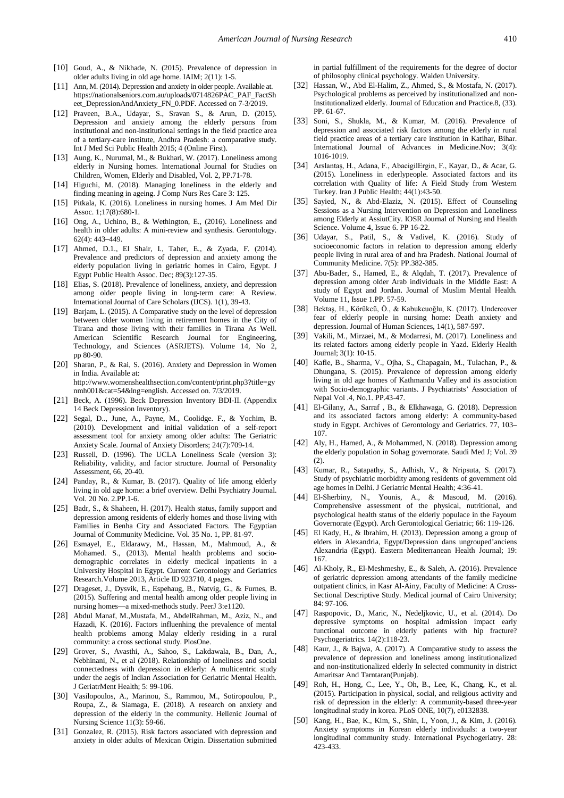- <span id="page-10-0"></span>[10] Goud, A., & Nikhade, N. (2015). Prevalence of depression in older adults living in old age home. IAIM; 2(11): 1-5.
- <span id="page-10-1"></span>[11] Ann, M. (2014). Depression and anxiety in older people. Available at. https://nationalseniors.com.au/uploads/0714826PAC\_PAF\_FactSh eet\_DepressionAndAnxiety\_FN\_0.PDF. Accessed on 7-3/2019.
- <span id="page-10-2"></span>[12] Praveen, B.A., Udayar, S., Sravan S., & Arun, D. (2015). Depression and anxiety among the elderly persons from institutional and non-institutional settings in the field practice area of a tertiary-care institute, Andhra Pradesh: a comparative study. Int J Med Sci Public Health 2015; 4 (Online First).
- <span id="page-10-3"></span>[13] Aung, K., Nurumal, M., & Bukhari, W. (2017). Loneliness among elderly in Nursing homes. International Journal for Studies on Children, Women, Elderly and Disabled, Vol. 2, PP.71-78.
- <span id="page-10-4"></span>[14] Higuchi, M. (2018). Managing loneliness in the elderly and finding meaning in ageing. J Comp Nurs Res Care 3: 125.
- <span id="page-10-5"></span>[15] Pitkala, K. (2016). Loneliness in nursing homes. J Am Med Dir Assoc. 1;17(8):680-1.
- [16] Ong, A., Uchino, B., & Wethington, E., (2016). Loneliness and health in older adults: A mini-review and synthesis. Gerontology. 62(4): 443–449.
- <span id="page-10-6"></span>[17] Ahmed, D.1., El Shair, I., Taher, E., & Zyada, F. (2014). Prevalence and predictors of depression and anxiety among the elderly population living in geriatric homes in Cairo, Egypt. J Egypt Public Health Assoc. Dec; 89(3):127-35.
- <span id="page-10-7"></span>[18] Elias, S. (2018). Prevalence of loneliness, anxiety, and depression among older people living in long-term care: A Review. International Journal of Care Scholars (IJCS). 1(1), 39-43.
- <span id="page-10-8"></span>[19] Barjam, L. (2015). A Comparative study on the level of depression between older women living in retirement homes in the City of Tirana and those living with their families in Tirana As Well. American Scientific Research Journal for Engineering, Technology, and Sciences (ASRJETS). Volume 14, No 2, pp 80-90.
- <span id="page-10-9"></span>[20] Sharan, P., & Rai, S. (2016). Anxiety and Depression in Women in India. Available at: http://www.womenshealthsection.com/content/print.php3?title=gy nmh001&cat=54&lng=english. Accessed on. 7/3/2019.
- <span id="page-10-10"></span>[21] Beck, A. (1996). Beck Depression Inventory BDI-II. (Appendix 14 Beck Depression Inventory).
- <span id="page-10-11"></span>[22] Segal, D.., June, A., Payne, M., Coolidge. F., & Yochim, B. (2010). Development and initial validation of a self-report assessment tool for anxiety among older adults: The Geriatric Anxiety Scale. Journal of Anxiety Disorders; 24(7):709-14.
- <span id="page-10-12"></span>[23] Russell, D. (1996). The UCLA Loneliness Scale (version 3): Reliability, validity, and factor structure. Journal of Personality Assessment, 66, 20-40.
- <span id="page-10-13"></span>[24] Panday, R., & Kumar, B. (2017). Quality of life among elderly living in old age home: a brief overview. Delhi Psychiatry Journal. Vol. 20 No. 2.PP.1-6.
- <span id="page-10-14"></span>[25] Badr, S., & Shaheen, H. (2017). Health status, family support and depression among residents of elderly homes and those living with Families in Benha City and Associated Factors. The Egyptian Journal of Community Medicine. Vol. 35 No. 1, PP. 81-97.
- <span id="page-10-15"></span>[26] Esmayel, E., Eldarawy, M., Hassan, M., Mahmoud, A., & Mohamed. S., (2013). Mental health problems and sociodemographic correlates in elderly medical inpatients in a University Hospital in Egypt. Current Gerontology and Geriatrics Research.Volume 2013, Article ID 923710, 4 pages.
- <span id="page-10-16"></span>[27] Drageset, J., Dysvik, E., Espehaug, B., Natvig, G., & Furnes, B. (2015). Suffering and mental health among older people living in nursing homes—a mixed-methods study. PeerJ 3:e1120.
- <span id="page-10-17"></span>[28] Abdul Manaf, M.,Mustafa, M., AbdelRahman, M., Aziz, N., and Hazadi, K. (2016). Factors influenhing the prevalence of mental health problems among Malay elderly residing in a rural community: a cross sectional study. PlosOne.
- <span id="page-10-18"></span>[29] Grover, S., Avasthi, A., Sahoo, S., Lakdawala, B., Dan, A., Nebhinani, N., et al (2018). Relationship of loneliness and social connectedness with depression in elderly: A multicentric study under the aegis of Indian Association for Geriatric Mental Health. J GeriatrMent Health; 5: 99-106.
- <span id="page-10-37"></span>[30] Vasilopoulos, A., Marinou, S., Rammou, M., Sotiropoulou, P., Roupa, Z., & Siamaga, E. (2018). A research on anxiety and depression of the elderly in the community. Hellenic Journal of Nursing Science 11(3): 59-66.
- <span id="page-10-19"></span>[31] Gonzalez, R. (2015). Risk factors associated with depression and anxiety in older adults of Mexican Origin. Dissertation submitted

in partial fulfillment of the requirements for the degree of doctor of philosophy clinical psychology. Walden University.

- <span id="page-10-33"></span>[32] Hassan, W., Abd El-Halim, Z., Ahmed, S., & Mostafa, N. (2017). Psychological problems as perceived by institutionalized and non-Institutionalized elderly. Journal of Education and Practice.8, (33). PP. 61-67.
- <span id="page-10-20"></span>[33] Soni, S., Shukla, M., & Kumar, M. (2016). Prevalence of depression and associated risk factors among the elderly in rural field practice areas of a tertiary care institution in Katihar, Bihar. International Journal of Advances in Medicine.Nov; 3(4): 1016-1019.
- <span id="page-10-29"></span>[34] Arslantaş, H., Adana, F., AbacigilErgin, F., Kayar, D., & Acar, G. (2015). Loneliness in ederlypeople. Associated factors and its correlation with Quality of life: A Field Study from Western Turkey. Iran J Public Health; 44(1):43-50.
- <span id="page-10-21"></span>[35] Sayied, N., & Abd-Elaziz, N. (2015). Effect of Counseling Sessions as a Nursing Intervention on Depression and Loneliness among Elderly at AssiutCity. IOSR Journal of Nursing and Health Science. Volume 4, Issue 6. PP 16-22.
- <span id="page-10-22"></span>[36] Udayar, S., Patil, S., & Vadivel, K. (2016). Study of socioeconomic factors in relation to depression among elderly people living in rural area of and hra Pradesh. National Journal of Community Medicine. 7(5): PP.382-385.
- <span id="page-10-23"></span>[37] Abu-Bader, S., Hamed, E., & Alqdah, T. (2017). Prevalence of depression among older Arab individuals in the Middle East: A study of Egypt and Jordan. Journal of Muslim Mental Health. Volume 11, Issue 1.PP. 57-59.
- <span id="page-10-24"></span>[38] Bektaş, H., Körükcü, Ö., & Kabukcuoğlu, K. (2017). Undercover fear of elderly people in nursing home: Death anxiety and depression. Journal of Human Sciences, 14(1), 587-597.
- <span id="page-10-25"></span>[39] Vakili, M., Mirzaei, M., & Modarresi, M. (2017). Loneliness and its related factors among elderly people in Yazd. Elderly Health Journal; 3(1): 10-15.
- <span id="page-10-26"></span>[40] Kafle, B., Sharma, V., Ojha, S., Chapagain, M., Tulachan, P., & Dhungana, S. (2015). Prevalence of depression among elderly living in old age homes of Kathmandu Valley and its association with Socio-demographic variants. J Psychiatrists' Association of Nepal Vol .4, No.1. PP.43-47.
- <span id="page-10-27"></span>[41] El-Gilany, A., Sarraf , B., & Elkhawaga, G. (2018). Depression and its associated factors among elderly: A community-based study in Egypt. Archives of Gerontology and Geriatrics. 77, 103– 107.
- <span id="page-10-28"></span>[42] Aly, H., Hamed, A., & Mohammed, N. (2018). Depression among the elderly population in Sohag governorate. Saudi Med J; Vol. 39 (2).
- <span id="page-10-30"></span>[43] Kumar, R., Satapathy, S., Adhish, V., & Nripsuta, S. (2017). Study of psychiatric morbidity among residents of government old age homes in Delhi. J Geriatric Mental Health; 4:36-41.
- <span id="page-10-31"></span>[44] El-Sherbiny, N., Younis, A., & Masoud, M. (2016). Comprehensive assessment of the physical, nutritional, and psychological health status of the elderly populace in the Fayoum Governorate (Egypt). Arch Gerontological Geriatric; 66: 119-126.
- [45] El Kady, H., & Ibrahim, H. (2013). Depression among a group of elders in Alexandria, Egypt/Depression dans ungrouped'anciens Alexandria (Egypt). Eastern Mediterranean Health Journal; 19: 167.
- <span id="page-10-32"></span>[46] Al-Kholy, R., El-Meshmeshy, E., & Saleh, A. (2016). Prevalence of geriatric depression among attendants of the family medicine outpatient clinics, in Kasr Al-Ainy, Faculty of Medicine: A Cross-Sectional Descriptive Study. Medical journal of Cairo University; 84: 97-106.
- <span id="page-10-34"></span>[47] Raspopovic, D., Maric, N., Nedeljkovic, U., et al. (2014). Do depressive symptoms on hospital admission impact early functional outcome in elderly patients with hip fracture? Psychogeriatrics. 14(2):118-23.
- <span id="page-10-35"></span>[48] Kaur, J., & Bajwa, A. (2017). A Comparative study to assess the prevalence of depression and loneliness among institutionalized and non-institutionalized elderly In selected community in district Amaritsar And Tarntaran(Punjab).
- <span id="page-10-36"></span>[49] Roh, H., Hong, C., Lee, Y., Oh, B., Lee, K., Chang, K., et al. (2015). Participation in physical, social, and religious activity and risk of depression in the elderly: A community-based three-year longitudinal study in korea. PLoS ONE, 10(7), e0132838.
- <span id="page-10-38"></span>[50] Kang, H., Bae, K., Kim, S., Shin, I., Yoon, J., & Kim, J. (2016). Anxiety symptoms in Korean elderly individuals: a two-year longitudinal community study. International Psychogeriatry. 28: 423-433.